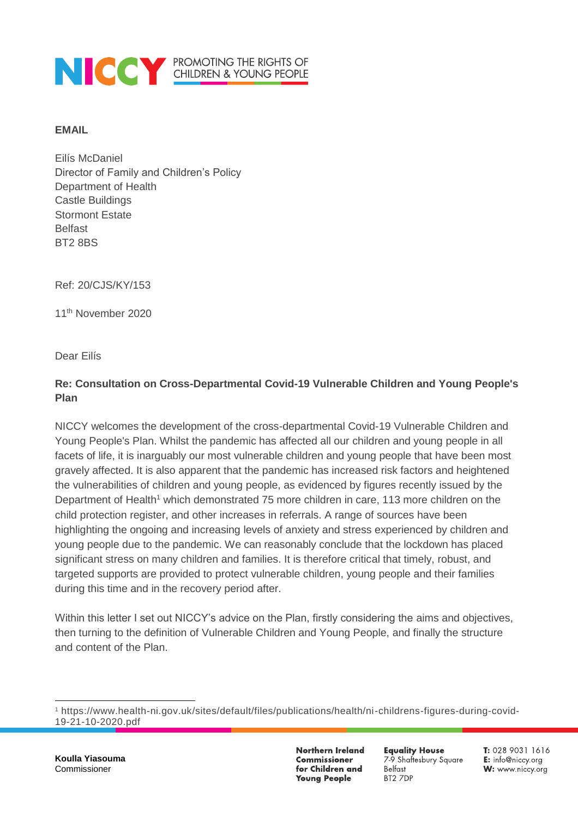

#### **EMAIL**

Eilís McDaniel Director of Family and Children's Policy Department of Health Castle Buildings Stormont Estate Belfast BT2 8BS

Ref: 20/CJS/KY/153

11<sup>th</sup> November 2020

Dear Eilís

## **Re: Consultation on Cross-Departmental Covid-19 Vulnerable Children and Young People's Plan**

NICCY welcomes the development of the cross-departmental Covid-19 Vulnerable Children and Young People's Plan. Whilst the pandemic has affected all our children and young people in all facets of life, it is inarguably our most vulnerable children and young people that have been most gravely affected. It is also apparent that the pandemic has increased risk factors and heightened the vulnerabilities of children and young people, as evidenced by figures recently issued by the Department of Health<sup>1</sup> which demonstrated 75 more children in care, 113 more children on the child protection register, and other increases in referrals. A range of sources have been highlighting the ongoing and increasing levels of anxiety and stress experienced by children and young people due to the pandemic. We can reasonably conclude that the lockdown has placed significant stress on many children and families. It is therefore critical that timely, robust, and targeted supports are provided to protect vulnerable children, young people and their families during this time and in the recovery period after.

Within this letter I set out NICCY's advice on the Plan, firstly considering the aims and objectives, then turning to the definition of Vulnerable Children and Young People, and finally the structure and content of the Plan.

**Northern Ireland Commissioner** for Children and **Young People** 

**Equality House** 7-9 Shaftesbury Square Belfast BT2 7DP

 $\overline{a}$ <sup>1</sup> https://www.health-ni.gov.uk/sites/default/files/publications/health/ni-childrens-figures-during-covid-19-21-10-2020.pdf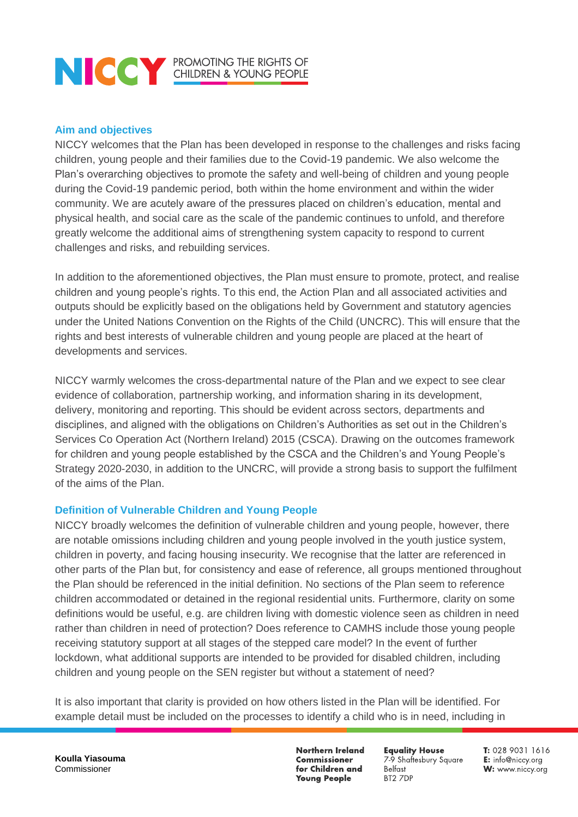# **NOCK PROMOTING THE RIGHTS OF CHILDREN & YOUNG PEOPLE**

### **Aim and objectives**

NICCY welcomes that the Plan has been developed in response to the challenges and risks facing children, young people and their families due to the Covid-19 pandemic. We also welcome the Plan's overarching objectives to promote the safety and well-being of children and young people during the Covid-19 pandemic period, both within the home environment and within the wider community. We are acutely aware of the pressures placed on children's education, mental and physical health, and social care as the scale of the pandemic continues to unfold, and therefore greatly welcome the additional aims of strengthening system capacity to respond to current challenges and risks, and rebuilding services.

In addition to the aforementioned objectives, the Plan must ensure to promote, protect, and realise children and young people's rights. To this end, the Action Plan and all associated activities and outputs should be explicitly based on the obligations held by Government and statutory agencies under the United Nations Convention on the Rights of the Child (UNCRC). This will ensure that the rights and best interests of vulnerable children and young people are placed at the heart of developments and services.

NICCY warmly welcomes the cross-departmental nature of the Plan and we expect to see clear evidence of collaboration, partnership working, and information sharing in its development, delivery, monitoring and reporting. This should be evident across sectors, departments and disciplines, and aligned with the obligations on Children's Authorities as set out in the Children's Services Co Operation Act (Northern Ireland) 2015 (CSCA). Drawing on the outcomes framework for children and young people established by the CSCA and the Children's and Young People's Strategy 2020-2030, in addition to the UNCRC, will provide a strong basis to support the fulfilment of the aims of the Plan.

#### **Definition of Vulnerable Children and Young People**

NICCY broadly welcomes the definition of vulnerable children and young people, however, there are notable omissions including children and young people involved in the youth justice system, children in poverty, and facing housing insecurity. We recognise that the latter are referenced in other parts of the Plan but, for consistency and ease of reference, all groups mentioned throughout the Plan should be referenced in the initial definition. No sections of the Plan seem to reference children accommodated or detained in the regional residential units. Furthermore, clarity on some definitions would be useful, e.g. are children living with domestic violence seen as children in need rather than children in need of protection? Does reference to CAMHS include those young people receiving statutory support at all stages of the stepped care model? In the event of further lockdown, what additional supports are intended to be provided for disabled children, including children and young people on the SEN register but without a statement of need?

It is also important that clarity is provided on how others listed in the Plan will be identified. For example detail must be included on the processes to identify a child who is in need, including in

**Koulla Yiasouma** Commissioner

**Northern Ireland Commissioner** for Children and **Young People** 

**Equality House** 7-9 Shaftesbury Square Belfast BT2 7DP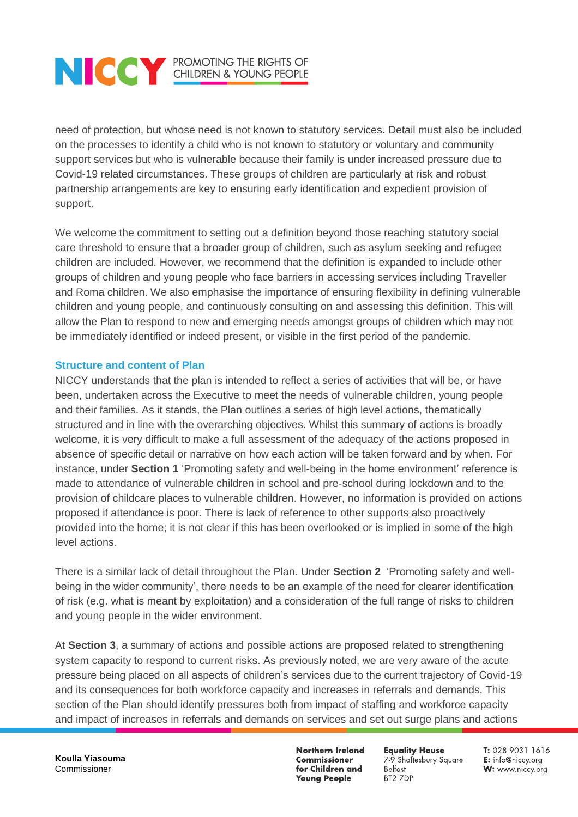# **NOCK PROMOTING THE RIGHTS OF CHILDREN & YOUNG PEOPLE**

need of protection, but whose need is not known to statutory services. Detail must also be included on the processes to identify a child who is not known to statutory or voluntary and community support services but who is vulnerable because their family is under increased pressure due to Covid-19 related circumstances. These groups of children are particularly at risk and robust partnership arrangements are key to ensuring early identification and expedient provision of support.

We welcome the commitment to setting out a definition beyond those reaching statutory social care threshold to ensure that a broader group of children, such as asylum seeking and refugee children are included. However, we recommend that the definition is expanded to include other groups of children and young people who face barriers in accessing services including Traveller and Roma children. We also emphasise the importance of ensuring flexibility in defining vulnerable children and young people, and continuously consulting on and assessing this definition. This will allow the Plan to respond to new and emerging needs amongst groups of children which may not be immediately identified or indeed present, or visible in the first period of the pandemic.

### **Structure and content of Plan**

NICCY understands that the plan is intended to reflect a series of activities that will be, or have been, undertaken across the Executive to meet the needs of vulnerable children, young people and their families. As it stands, the Plan outlines a series of high level actions, thematically structured and in line with the overarching objectives. Whilst this summary of actions is broadly welcome, it is very difficult to make a full assessment of the adequacy of the actions proposed in absence of specific detail or narrative on how each action will be taken forward and by when. For instance, under **Section 1** 'Promoting safety and well-being in the home environment' reference is made to attendance of vulnerable children in school and pre-school during lockdown and to the provision of childcare places to vulnerable children. However, no information is provided on actions proposed if attendance is poor. There is lack of reference to other supports also proactively provided into the home; it is not clear if this has been overlooked or is implied in some of the high level actions.

There is a similar lack of detail throughout the Plan. Under **Section 2** 'Promoting safety and wellbeing in the wider community', there needs to be an example of the need for clearer identification of risk (e.g. what is meant by exploitation) and a consideration of the full range of risks to children and young people in the wider environment.

At **Section 3**, a summary of actions and possible actions are proposed related to strengthening system capacity to respond to current risks. As previously noted, we are very aware of the acute pressure being placed on all aspects of children's services due to the current trajectory of Covid-19 and its consequences for both workforce capacity and increases in referrals and demands. This section of the Plan should identify pressures both from impact of staffing and workforce capacity and impact of increases in referrals and demands on services and set out surge plans and actions

**Northern Ireland Commissioner** for Children and **Young People** 

**Equality House** 7-9 Shaftesbury Square Belfast BT2 7DP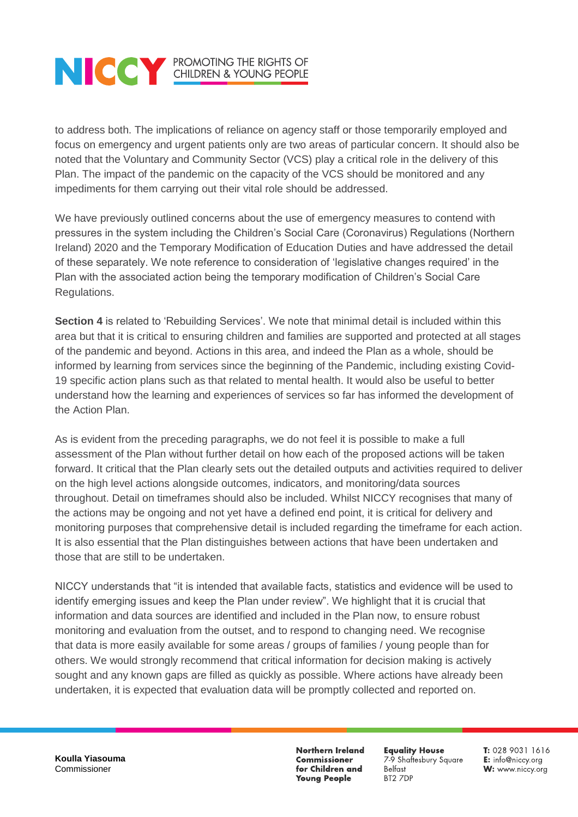# **NOCK PROMOTING THE RIGHTS OF CHILDREN & YOUNG PEOPLE**

to address both. The implications of reliance on agency staff or those temporarily employed and focus on emergency and urgent patients only are two areas of particular concern. It should also be noted that the Voluntary and Community Sector (VCS) play a critical role in the delivery of this Plan. The impact of the pandemic on the capacity of the VCS should be monitored and any impediments for them carrying out their vital role should be addressed.

We have previously outlined concerns about the use of emergency measures to contend with pressures in the system including the Children's Social Care (Coronavirus) Regulations (Northern Ireland) 2020 and the Temporary Modification of Education Duties and have addressed the detail of these separately. We note reference to consideration of 'legislative changes required' in the Plan with the associated action being the temporary modification of Children's Social Care Regulations.

**Section 4** is related to 'Rebuilding Services'. We note that minimal detail is included within this area but that it is critical to ensuring children and families are supported and protected at all stages of the pandemic and beyond. Actions in this area, and indeed the Plan as a whole, should be informed by learning from services since the beginning of the Pandemic, including existing Covid-19 specific action plans such as that related to mental health. It would also be useful to better understand how the learning and experiences of services so far has informed the development of the Action Plan.

As is evident from the preceding paragraphs, we do not feel it is possible to make a full assessment of the Plan without further detail on how each of the proposed actions will be taken forward. It critical that the Plan clearly sets out the detailed outputs and activities required to deliver on the high level actions alongside outcomes, indicators, and monitoring/data sources throughout. Detail on timeframes should also be included. Whilst NICCY recognises that many of the actions may be ongoing and not yet have a defined end point, it is critical for delivery and monitoring purposes that comprehensive detail is included regarding the timeframe for each action. It is also essential that the Plan distinguishes between actions that have been undertaken and those that are still to be undertaken.

NICCY understands that "it is intended that available facts, statistics and evidence will be used to identify emerging issues and keep the Plan under review". We highlight that it is crucial that information and data sources are identified and included in the Plan now, to ensure robust monitoring and evaluation from the outset, and to respond to changing need. We recognise that data is more easily available for some areas / groups of families / young people than for others. We would strongly recommend that critical information for decision making is actively sought and any known gaps are filled as quickly as possible. Where actions have already been undertaken, it is expected that evaluation data will be promptly collected and reported on.

**Koulla Yiasouma** Commissioner

**Northern Ireland Commissioner** for Children and **Young People** 

**Equality House** 7-9 Shaftesbury Square Belfast BT2 7DP